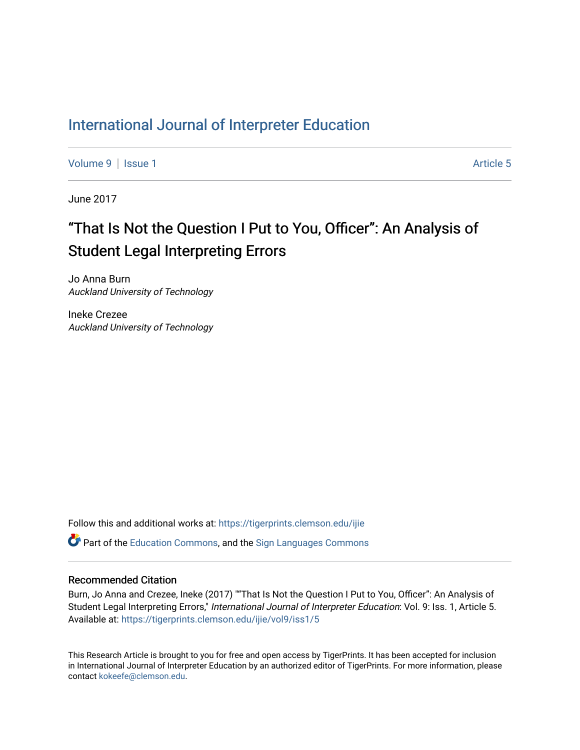# [International Journal of Interpreter Education](https://tigerprints.clemson.edu/ijie)

[Volume 9](https://tigerprints.clemson.edu/ijie/vol9) | [Issue 1](https://tigerprints.clemson.edu/ijie/vol9/iss1) Article 5

June 2017

# "That Is Not the Question I Put to You, Officer": An Analysis of Student Legal Interpreting Errors

Jo Anna Burn Auckland University of Technology

Ineke Crezee Auckland University of Technology

Follow this and additional works at: [https://tigerprints.clemson.edu/ijie](https://tigerprints.clemson.edu/ijie?utm_source=tigerprints.clemson.edu%2Fijie%2Fvol9%2Fiss1%2F5&utm_medium=PDF&utm_campaign=PDFCoverPages) 

**P** Part of the [Education Commons](https://network.bepress.com/hgg/discipline/784?utm_source=tigerprints.clemson.edu%2Fijie%2Fvol9%2Fiss1%2F5&utm_medium=PDF&utm_campaign=PDFCoverPages), and the Sign Languages Commons

#### Recommended Citation

Burn, Jo Anna and Crezee, Ineke (2017) ""That Is Not the Question I Put to You, Officer": An Analysis of Student Legal Interpreting Errors," International Journal of Interpreter Education: Vol. 9: Iss. 1, Article 5. Available at: [https://tigerprints.clemson.edu/ijie/vol9/iss1/5](https://tigerprints.clemson.edu/ijie/vol9/iss1/5?utm_source=tigerprints.clemson.edu%2Fijie%2Fvol9%2Fiss1%2F5&utm_medium=PDF&utm_campaign=PDFCoverPages)

This Research Article is brought to you for free and open access by TigerPrints. It has been accepted for inclusion in International Journal of Interpreter Education by an authorized editor of TigerPrints. For more information, please contact [kokeefe@clemson.edu.](mailto:kokeefe@clemson.edu)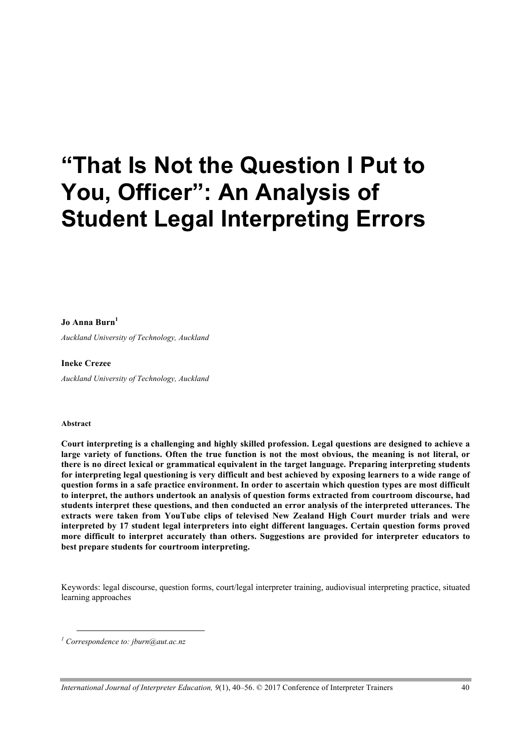# **"That Is Not the Question I Put to You, Officer": An Analysis of Student Legal Interpreting Errors**

#### **Jo Anna Burn1**

*Auckland University of Technology, Auckland*

#### **Ineke Crezee**

*Auckland University of Technology, Auckland*

#### **Abstract**

 $\overline{a}$ 

**Court interpreting is a challenging and highly skilled profession. Legal questions are designed to achieve a large variety of functions. Often the true function is not the most obvious, the meaning is not literal, or there is no direct lexical or grammatical equivalent in the target language. Preparing interpreting students for interpreting legal questioning is very difficult and best achieved by exposing learners to a wide range of question forms in a safe practice environment. In order to ascertain which question types are most difficult to interpret, the authors undertook an analysis of question forms extracted from courtroom discourse, had students interpret these questions, and then conducted an error analysis of the interpreted utterances. The extracts were taken from YouTube clips of televised New Zealand High Court murder trials and were interpreted by 17 student legal interpreters into eight different languages. Certain question forms proved more difficult to interpret accurately than others. Suggestions are provided for interpreter educators to best prepare students for courtroom interpreting.**

Keywords: legal discourse, question forms, court/legal interpreter training, audiovisual interpreting practice, situated learning approaches

*<sup>1</sup> Correspondence to: jburn@aut.ac.nz*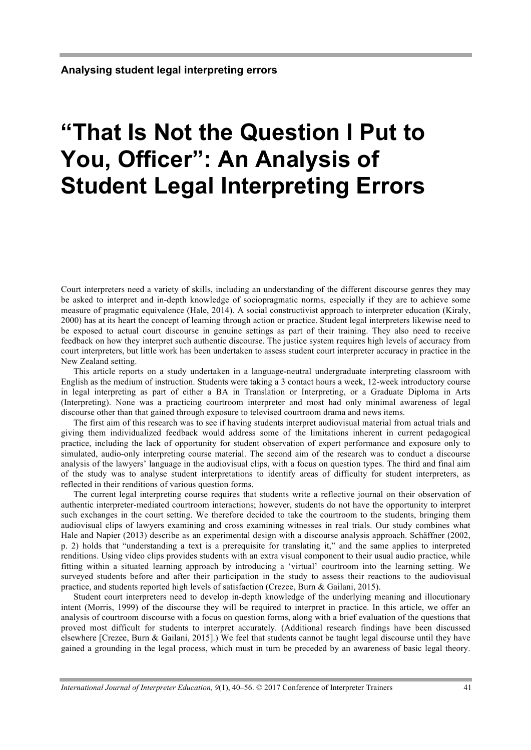# **"That Is Not the Question I Put to You, Officer": An Analysis of Student Legal Interpreting Errors**

Court interpreters need a variety of skills, including an understanding of the different discourse genres they may be asked to interpret and in-depth knowledge of sociopragmatic norms, especially if they are to achieve some measure of pragmatic equivalence (Hale, 2014). A social constructivist approach to interpreter education (Kiraly, 2000) has at its heart the concept of learning through action or practice. Student legal interpreters likewise need to be exposed to actual court discourse in genuine settings as part of their training. They also need to receive feedback on how they interpret such authentic discourse. The justice system requires high levels of accuracy from court interpreters, but little work has been undertaken to assess student court interpreter accuracy in practice in the New Zealand setting.

This article reports on a study undertaken in a language-neutral undergraduate interpreting classroom with English as the medium of instruction. Students were taking a 3 contact hours a week, 12-week introductory course in legal interpreting as part of either a BA in Translation or Interpreting, or a Graduate Diploma in Arts (Interpreting). None was a practicing courtroom interpreter and most had only minimal awareness of legal discourse other than that gained through exposure to televised courtroom drama and news items.

The first aim of this research was to see if having students interpret audiovisual material from actual trials and giving them individualized feedback would address some of the limitations inherent in current pedagogical practice, including the lack of opportunity for student observation of expert performance and exposure only to simulated, audio-only interpreting course material. The second aim of the research was to conduct a discourse analysis of the lawyers' language in the audiovisual clips, with a focus on question types. The third and final aim of the study was to analyse student interpretations to identify areas of difficulty for student interpreters, as reflected in their renditions of various question forms.

The current legal interpreting course requires that students write a reflective journal on their observation of authentic interpreter-mediated courtroom interactions; however, students do not have the opportunity to interpret such exchanges in the court setting. We therefore decided to take the courtroom to the students, bringing them audiovisual clips of lawyers examining and cross examining witnesses in real trials. Our study combines what Hale and Napier (2013) describe as an experimental design with a discourse analysis approach. Schäffner (2002, p. 2) holds that "understanding a text is a prerequisite for translating it," and the same applies to interpreted renditions. Using video clips provides students with an extra visual component to their usual audio practice, while fitting within a situated learning approach by introducing a 'virtual' courtroom into the learning setting. We surveyed students before and after their participation in the study to assess their reactions to the audiovisual practice, and students reported high levels of satisfaction (Crezee, Burn & Gailani, 2015).

Student court interpreters need to develop in-depth knowledge of the underlying meaning and illocutionary intent (Morris, 1999) of the discourse they will be required to interpret in practice. In this article, we offer an analysis of courtroom discourse with a focus on question forms, along with a brief evaluation of the questions that proved most difficult for students to interpret accurately. (Additional research findings have been discussed elsewhere [Crezee, Burn & Gailani, 2015].) We feel that students cannot be taught legal discourse until they have gained a grounding in the legal process, which must in turn be preceded by an awareness of basic legal theory.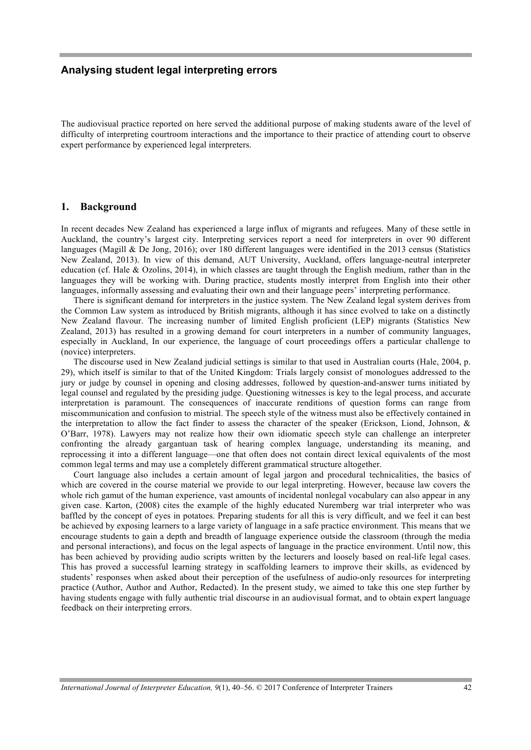The audiovisual practice reported on here served the additional purpose of making students aware of the level of difficulty of interpreting courtroom interactions and the importance to their practice of attending court to observe expert performance by experienced legal interpreters.

#### **1. Background**

In recent decades New Zealand has experienced a large influx of migrants and refugees. Many of these settle in Auckland, the country's largest city. Interpreting services report a need for interpreters in over 90 different languages (Magill & De Jong, 2016); over 180 different languages were identified in the 2013 census (Statistics New Zealand, 2013). In view of this demand, AUT University, Auckland, offers language-neutral interpreter education (cf. Hale & Ozolins, 2014), in which classes are taught through the English medium, rather than in the languages they will be working with. During practice, students mostly interpret from English into their other languages, informally assessing and evaluating their own and their language peers' interpreting performance.

There is significant demand for interpreters in the justice system. The New Zealand legal system derives from the Common Law system as introduced by British migrants, although it has since evolved to take on a distinctly New Zealand flavour. The increasing number of limited English proficient (LEP) migrants (Statistics New Zealand, 2013) has resulted in a growing demand for court interpreters in a number of community languages, especially in Auckland, In our experience, the language of court proceedings offers a particular challenge to (novice) interpreters.

The discourse used in New Zealand judicial settings is similar to that used in Australian courts (Hale, 2004, p. 29), which itself is similar to that of the United Kingdom: Trials largely consist of monologues addressed to the jury or judge by counsel in opening and closing addresses, followed by question-and-answer turns initiated by legal counsel and regulated by the presiding judge. Questioning witnesses is key to the legal process, and accurate interpretation is paramount. The consequences of inaccurate renditions of question forms can range from miscommunication and confusion to mistrial. The speech style of the witness must also be effectively contained in the interpretation to allow the fact finder to assess the character of the speaker (Erickson, Liond, Johnson, & O'Barr, 1978). Lawyers may not realize how their own idiomatic speech style can challenge an interpreter confronting the already gargantuan task of hearing complex language, understanding its meaning, and reprocessing it into a different language—one that often does not contain direct lexical equivalents of the most common legal terms and may use a completely different grammatical structure altogether.

Court language also includes a certain amount of legal jargon and procedural technicalities, the basics of which are covered in the course material we provide to our legal interpreting. However, because law covers the whole rich gamut of the human experience, vast amounts of incidental nonlegal vocabulary can also appear in any given case. Karton, (2008) cites the example of the highly educated Nuremberg war trial interpreter who was baffled by the concept of eyes in potatoes. Preparing students for all this is very difficult, and we feel it can best be achieved by exposing learners to a large variety of language in a safe practice environment. This means that we encourage students to gain a depth and breadth of language experience outside the classroom (through the media and personal interactions), and focus on the legal aspects of language in the practice environment. Until now, this has been achieved by providing audio scripts written by the lecturers and loosely based on real-life legal cases. This has proved a successful learning strategy in scaffolding learners to improve their skills, as evidenced by students' responses when asked about their perception of the usefulness of audio-only resources for interpreting practice (Author, Author and Author, Redacted). In the present study, we aimed to take this one step further by having students engage with fully authentic trial discourse in an audiovisual format, and to obtain expert language feedback on their interpreting errors.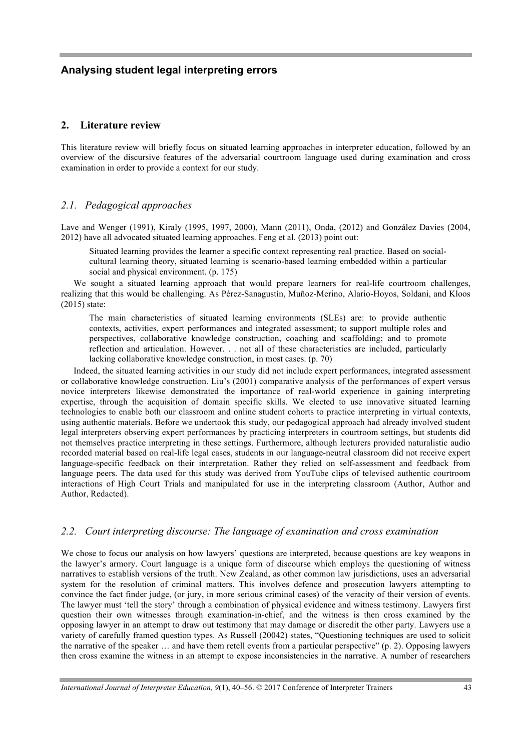#### **2. Literature review**

This literature review will briefly focus on situated learning approaches in interpreter education, followed by an overview of the discursive features of the adversarial courtroom language used during examination and cross examination in order to provide a context for our study.

#### *2.1. Pedagogical approaches*

Lave and Wenger (1991), Kiraly (1995, 1997, 2000), Mann (2011), Onda, (2012) and González Davies (2004, 2012) have all advocated situated learning approaches. Feng et al. (2013) point out:

Situated learning provides the learner a specific context representing real practice. Based on socialcultural learning theory, situated learning is scenario-based learning embedded within a particular social and physical environment. (p. 175)

We sought a situated learning approach that would prepare learners for real-life courtroom challenges, realizing that this would be challenging. As Pérez-Sanagustín, Muñoz-Merino, Alario-Hoyos, Soldani, and Kloos (2015) state:

The main characteristics of situated learning environments (SLEs) are: to provide authentic contexts, activities, expert performances and integrated assessment; to support multiple roles and perspectives, collaborative knowledge construction, coaching and scaffolding; and to promote reflection and articulation. However. . . not all of these characteristics are included, particularly lacking collaborative knowledge construction, in most cases. (p. 70)

Indeed, the situated learning activities in our study did not include expert performances, integrated assessment or collaborative knowledge construction. Liu's (2001) comparative analysis of the performances of expert versus novice interpreters likewise demonstrated the importance of real-world experience in gaining interpreting expertise, through the acquisition of domain specific skills. We elected to use innovative situated learning technologies to enable both our classroom and online student cohorts to practice interpreting in virtual contexts, using authentic materials. Before we undertook this study, our pedagogical approach had already involved student legal interpreters observing expert performances by practicing interpreters in courtroom settings, but students did not themselves practice interpreting in these settings. Furthermore, although lecturers provided naturalistic audio recorded material based on real-life legal cases, students in our language-neutral classroom did not receive expert language-specific feedback on their interpretation. Rather they relied on self-assessment and feedback from language peers. The data used for this study was derived from YouTube clips of televised authentic courtroom interactions of High Court Trials and manipulated for use in the interpreting classroom (Author, Author and Author, Redacted).

#### *2.2. Court interpreting discourse: The language of examination and cross examination*

We chose to focus our analysis on how lawyers' questions are interpreted, because questions are key weapons in the lawyer's armory. Court language is a unique form of discourse which employs the questioning of witness narratives to establish versions of the truth. New Zealand, as other common law jurisdictions, uses an adversarial system for the resolution of criminal matters. This involves defence and prosecution lawyers attempting to convince the fact finder judge, (or jury, in more serious criminal cases) of the veracity of their version of events. The lawyer must 'tell the story' through a combination of physical evidence and witness testimony. Lawyers first question their own witnesses through examination-in-chief, and the witness is then cross examined by the opposing lawyer in an attempt to draw out testimony that may damage or discredit the other party. Lawyers use a variety of carefully framed question types. As Russell (20042) states, "Questioning techniques are used to solicit the narrative of the speaker … and have them retell events from a particular perspective" (p. 2). Opposing lawyers then cross examine the witness in an attempt to expose inconsistencies in the narrative. A number of researchers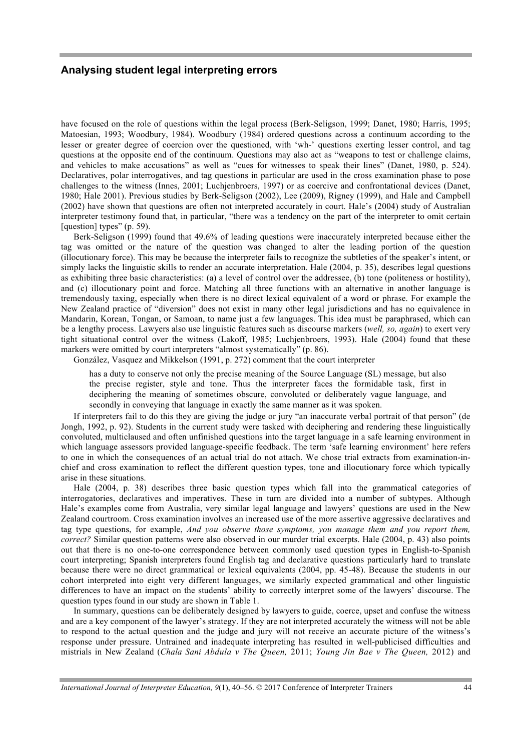have focused on the role of questions within the legal process (Berk-Seligson, 1999; Danet, 1980; Harris, 1995; Matoesian, 1993; Woodbury, 1984). Woodbury (1984) ordered questions across a continuum according to the lesser or greater degree of coercion over the questioned, with 'wh-' questions exerting lesser control, and tag questions at the opposite end of the continuum. Questions may also act as "weapons to test or challenge claims, and vehicles to make accusations" as well as "cues for witnesses to speak their lines" (Danet, 1980, p. 524). Declaratives, polar interrogatives, and tag questions in particular are used in the cross examination phase to pose challenges to the witness (Innes, 2001; Luchjenbroers, 1997) or as coercive and confrontational devices (Danet, 1980; Hale 2001). Previous studies by Berk-Seligson (2002), Lee (2009), Rigney (1999), and Hale and Campbell (2002) have shown that questions are often not interpreted accurately in court. Hale's (2004) study of Australian interpreter testimony found that, in particular, "there was a tendency on the part of the interpreter to omit certain [question] types" (p. 59).

Berk-Seligson (1999) found that 49.6% of leading questions were inaccurately interpreted because either the tag was omitted or the nature of the question was changed to alter the leading portion of the question (illocutionary force). This may be because the interpreter fails to recognize the subtleties of the speaker's intent, or simply lacks the linguistic skills to render an accurate interpretation. Hale (2004, p. 35), describes legal questions as exhibiting three basic characteristics: (a) a level of control over the addressee, (b) tone (politeness or hostility), and (c) illocutionary point and force. Matching all three functions with an alternative in another language is tremendously taxing, especially when there is no direct lexical equivalent of a word or phrase. For example the New Zealand practice of "diversion" does not exist in many other legal jurisdictions and has no equivalence in Mandarin, Korean, Tongan, or Samoan, to name just a few languages. This idea must be paraphrased, which can be a lengthy process. Lawyers also use linguistic features such as discourse markers (*well, so, again*) to exert very tight situational control over the witness (Lakoff, 1985; Luchjenbroers, 1993). Hale (2004) found that these markers were omitted by court interpreters "almost systematically" (p. 86).

González, Vasquez and Mikkelson (1991, p. 272) comment that the court interpreter

has a duty to conserve not only the precise meaning of the Source Language (SL) message, but also the precise register, style and tone. Thus the interpreter faces the formidable task, first in deciphering the meaning of sometimes obscure, convoluted or deliberately vague language, and secondly in conveying that language in exactly the same manner as it was spoken.

If interpreters fail to do this they are giving the judge or jury "an inaccurate verbal portrait of that person" (de Jongh, 1992, p. 92). Students in the current study were tasked with deciphering and rendering these linguistically convoluted, multiclaused and often unfinished questions into the target language in a safe learning environment in which language assessors provided language-specific feedback. The term 'safe learning environment' here refers to one in which the consequences of an actual trial do not attach. We chose trial extracts from examination-inchief and cross examination to reflect the different question types, tone and illocutionary force which typically arise in these situations.

Hale (2004, p. 38) describes three basic question types which fall into the grammatical categories of interrogatories, declaratives and imperatives. These in turn are divided into a number of subtypes. Although Hale's examples come from Australia, very similar legal language and lawyers' questions are used in the New Zealand courtroom. Cross examination involves an increased use of the more assertive aggressive declaratives and tag type questions, for example, *And you observe those symptoms, you manage them and you report them, correct?* Similar question patterns were also observed in our murder trial excerpts. Hale (2004, p. 43) also points out that there is no one-to-one correspondence between commonly used question types in English-to-Spanish court interpreting; Spanish interpreters found English tag and declarative questions particularly hard to translate because there were no direct grammatical or lexical equivalents (2004, pp. 45-48). Because the students in our cohort interpreted into eight very different languages, we similarly expected grammatical and other linguistic differences to have an impact on the students' ability to correctly interpret some of the lawyers' discourse. The question types found in our study are shown in Table 1.

In summary, questions can be deliberately designed by lawyers to guide, coerce, upset and confuse the witness and are a key component of the lawyer's strategy. If they are not interpreted accurately the witness will not be able to respond to the actual question and the judge and jury will not receive an accurate picture of the witness's response under pressure. Untrained and inadequate interpreting has resulted in well-publicised difficulties and mistrials in New Zealand (*Chala Sani Abdula v The Queen,* 2011; *Young Jin Bae v The Queen,* 2012) and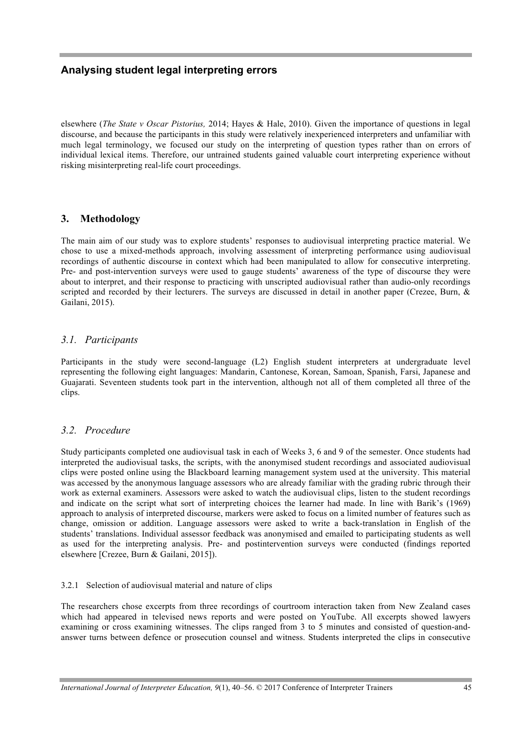elsewhere (*The State v Oscar Pistorius,* 2014; Hayes & Hale, 2010). Given the importance of questions in legal discourse, and because the participants in this study were relatively inexperienced interpreters and unfamiliar with much legal terminology, we focused our study on the interpreting of question types rather than on errors of individual lexical items. Therefore, our untrained students gained valuable court interpreting experience without risking misinterpreting real-life court proceedings.

### **3. Methodology**

The main aim of our study was to explore students' responses to audiovisual interpreting practice material. We chose to use a mixed-methods approach, involving assessment of interpreting performance using audiovisual recordings of authentic discourse in context which had been manipulated to allow for consecutive interpreting. Pre- and post-intervention surveys were used to gauge students' awareness of the type of discourse they were about to interpret, and their response to practicing with unscripted audiovisual rather than audio-only recordings scripted and recorded by their lecturers. The surveys are discussed in detail in another paper (Crezee, Burn, & Gailani, 2015).

### *3.1. Participants*

Participants in the study were second-language (L2) English student interpreters at undergraduate level representing the following eight languages: Mandarin, Cantonese, Korean, Samoan, Spanish, Farsi, Japanese and Guajarati. Seventeen students took part in the intervention, although not all of them completed all three of the clips.

## *3.2. Procedure*

Study participants completed one audiovisual task in each of Weeks 3, 6 and 9 of the semester. Once students had interpreted the audiovisual tasks, the scripts, with the anonymised student recordings and associated audiovisual clips were posted online using the Blackboard learning management system used at the university. This material was accessed by the anonymous language assessors who are already familiar with the grading rubric through their work as external examiners. Assessors were asked to watch the audiovisual clips, listen to the student recordings and indicate on the script what sort of interpreting choices the learner had made. In line with Barik's (1969) approach to analysis of interpreted discourse, markers were asked to focus on a limited number of features such as change, omission or addition. Language assessors were asked to write a back-translation in English of the students' translations. Individual assessor feedback was anonymised and emailed to participating students as well as used for the interpreting analysis. Pre- and postintervention surveys were conducted (findings reported elsewhere [Crezee, Burn & Gailani, 2015]).

#### 3.2.1 Selection of audiovisual material and nature of clips

The researchers chose excerpts from three recordings of courtroom interaction taken from New Zealand cases which had appeared in televised news reports and were posted on YouTube. All excerpts showed lawyers examining or cross examining witnesses. The clips ranged from 3 to 5 minutes and consisted of question-andanswer turns between defence or prosecution counsel and witness. Students interpreted the clips in consecutive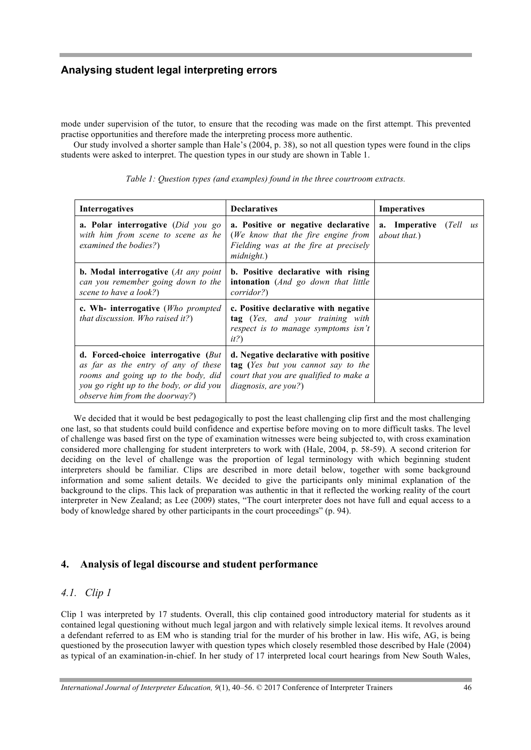mode under supervision of the tutor, to ensure that the recoding was made on the first attempt. This prevented practise opportunities and therefore made the interpreting process more authentic.

Our study involved a shorter sample than Hale's (2004, p. 38), so not all question types were found in the clips students were asked to interpret. The question types in our study are shown in Table 1.

| <b>Interrogatives</b>                                                                                                                                                                                  | <b>Declaratives</b>                                                                                                                                          | <b>Imperatives</b>                     |
|--------------------------------------------------------------------------------------------------------------------------------------------------------------------------------------------------------|--------------------------------------------------------------------------------------------------------------------------------------------------------------|----------------------------------------|
| <b>a. Polar interrogative</b> ( <i>Did you go</i><br>with him from scene to scene as he<br>examined the bodies?)                                                                                       | a. Positive or negative declarative<br>(We know that the fire engine from<br>Fielding was at the fire at precisely<br>$mid$ <sub>n</sub>                     | a. Imperative (Tell us<br>about that.) |
| <b>b.</b> Modal interrogative $(At any point)$<br>can you remember going down to the<br>scene to have a look?)                                                                                         | b. Positive declarative with rising<br>intonation (And go down that little<br>corridor?)                                                                     |                                        |
| c. Wh- interrogative ( <i>Who prompted</i><br><i>that discussion. Who raised it?</i> )                                                                                                                 | c. Positive declarative with negative<br>tag (Yes, and your training with<br>respect is to manage symptoms isn't<br>$it$ ?                                   |                                        |
| d. Forced-choice interrogative (But<br>as far as the entry of any of these<br>rooms and going up to the body, did<br>you go right up to the body, or did you<br><i>observe him from the doorway?</i> ) | d. Negative declarative with positive<br><b>tag</b> (Yes but you cannot say to the<br>court that you are qualified to make a<br><i>diagnosis, are you?</i> ) |                                        |

*Table 1: Question types (and examples) found in the three courtroom extracts.*

We decided that it would be best pedagogically to post the least challenging clip first and the most challenging one last, so that students could build confidence and expertise before moving on to more difficult tasks. The level of challenge was based first on the type of examination witnesses were being subjected to, with cross examination considered more challenging for student interpreters to work with (Hale, 2004, p. 58-59). A second criterion for deciding on the level of challenge was the proportion of legal terminology with which beginning student interpreters should be familiar. Clips are described in more detail below, together with some background information and some salient details. We decided to give the participants only minimal explanation of the background to the clips. This lack of preparation was authentic in that it reflected the working reality of the court interpreter in New Zealand; as Lee (2009) states, "The court interpreter does not have full and equal access to a body of knowledge shared by other participants in the court proceedings" (p. 94).

#### **4. Analysis of legal discourse and student performance**

## *4.1. Clip 1*

Clip 1 was interpreted by 17 students. Overall, this clip contained good introductory material for students as it contained legal questioning without much legal jargon and with relatively simple lexical items. It revolves around a defendant referred to as EM who is standing trial for the murder of his brother in law. His wife, AG, is being questioned by the prosecution lawyer with question types which closely resembled those described by Hale (2004) as typical of an examination-in-chief. In her study of 17 interpreted local court hearings from New South Wales,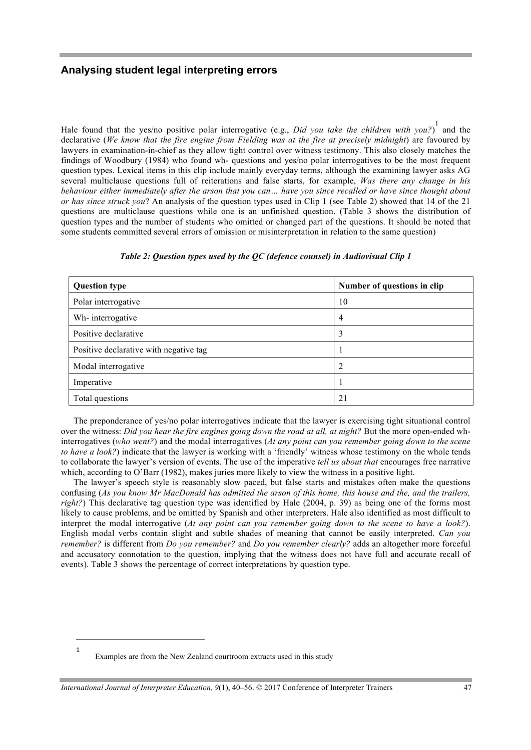Hale found that the yes/no positive polar interrogative (e.g., *Did you take the children with you?*) 1 and the declarative (*We know that the fire engine from Fielding was at the fire at precisely midnight*) are favoured by lawyers in examination-in-chief as they allow tight control over witness testimony. This also closely matches the findings of Woodbury (1984) who found wh- questions and yes/no polar interrogatives to be the most frequent question types. Lexical items in this clip include mainly everyday terms, although the examining lawyer asks AG several multiclause questions full of reiterations and false starts, for example, *Was there any change in his behaviour either immediately after the arson that you can… have you since recalled or have since thought about or has since struck you*? An analysis of the question types used in Clip 1 (see Table 2) showed that 14 of the 21 questions are multiclause questions while one is an unfinished question. (Table 3 shows the distribution of question types and the number of students who omitted or changed part of the questions. It should be noted that some students committed several errors of omission or misinterpretation in relation to the same question)

| <b>Question type</b>                   | Number of questions in clip |
|----------------------------------------|-----------------------------|
| Polar interrogative                    | 10                          |
| Wh-interrogative                       | 4                           |
| Positive declarative                   | 3                           |
| Positive declarative with negative tag |                             |
| Modal interrogative                    | 2                           |
| Imperative                             | ı                           |
| Total questions                        | 21                          |

#### *Table 2: Question types used by the QC (defence counsel) in Audiovisual Clip 1*

The preponderance of yes/no polar interrogatives indicate that the lawyer is exercising tight situational control over the witness: *Did you hear the fire engines going down the road at all, at night?* But the more open-ended whinterrogatives (*who went?*) and the modal interrogatives (*At any point can you remember going down to the scene to have a look?*) indicate that the lawyer is working with a 'friendly' witness whose testimony on the whole tends to collaborate the lawyer's version of events. The use of the imperative *tell us about that* encourages free narrative which, according to O'Barr (1982), makes juries more likely to view the witness in a positive light.

The lawyer's speech style is reasonably slow paced, but false starts and mistakes often make the questions confusing (*As you know Mr MacDonald has admitted the arson of this home, this house and the, and the trailers, right?*) This declarative tag question type was identified by Hale (2004, p. 39) as being one of the forms most likely to cause problems, and be omitted by Spanish and other interpreters. Hale also identified as most difficult to interpret the modal interrogative (*At any point can you remember going down to the scene to have a look?*). English modal verbs contain slight and subtle shades of meaning that cannot be easily interpreted. *Can you remember?* is different from *Do you remember?* and *Do you remember clearly?* adds an altogether more forceful and accusatory connotation to the question, implying that the witness does not have full and accurate recall of events). Table 3 shows the percentage of correct interpretations by question type.

l 1

Examples are from the New Zealand courtroom extracts used in this study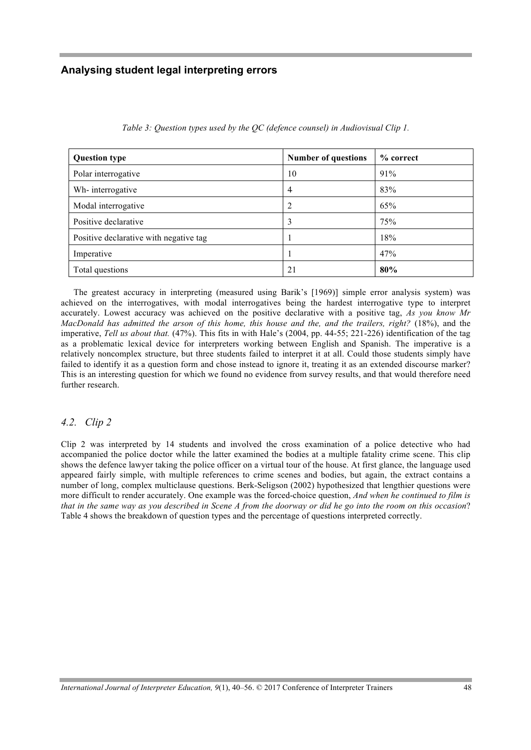| <b>Question type</b>                   | <b>Number of questions</b> | % correct |
|----------------------------------------|----------------------------|-----------|
| Polar interrogative                    | 10                         | 91%       |
| Wh-interrogative                       | 4                          | 83%       |
| Modal interrogative                    | 2                          | 65%       |
| Positive declarative                   | 3                          | 75%       |
| Positive declarative with negative tag |                            | 18%       |
| Imperative                             |                            | 47%       |
| Total questions                        | 21                         | 80%       |

*Table 3: Question types used by the QC (defence counsel) in Audiovisual Clip 1.*

The greatest accuracy in interpreting (measured using Barik's [1969)] simple error analysis system) was achieved on the interrogatives, with modal interrogatives being the hardest interrogative type to interpret accurately. Lowest accuracy was achieved on the positive declarative with a positive tag, *As you know Mr MacDonald has admitted the arson of this home, this house and the, and the trailers, right?* (18%), and the imperative, *Tell us about that.* (47%). This fits in with Hale's (2004, pp. 44-55; 221-226) identification of the tag as a problematic lexical device for interpreters working between English and Spanish. The imperative is a relatively noncomplex structure, but three students failed to interpret it at all. Could those students simply have failed to identify it as a question form and chose instead to ignore it, treating it as an extended discourse marker? This is an interesting question for which we found no evidence from survey results, and that would therefore need further research.

#### *4.2. Clip 2*

Clip 2 was interpreted by 14 students and involved the cross examination of a police detective who had accompanied the police doctor while the latter examined the bodies at a multiple fatality crime scene. This clip shows the defence lawyer taking the police officer on a virtual tour of the house. At first glance, the language used appeared fairly simple, with multiple references to crime scenes and bodies, but again, the extract contains a number of long, complex multiclause questions. Berk-Seligson (2002) hypothesized that lengthier questions were more difficult to render accurately. One example was the forced-choice question, *And when he continued to film is that in the same way as you described in Scene A from the doorway or did he go into the room on this occasion*? Table 4 shows the breakdown of question types and the percentage of questions interpreted correctly.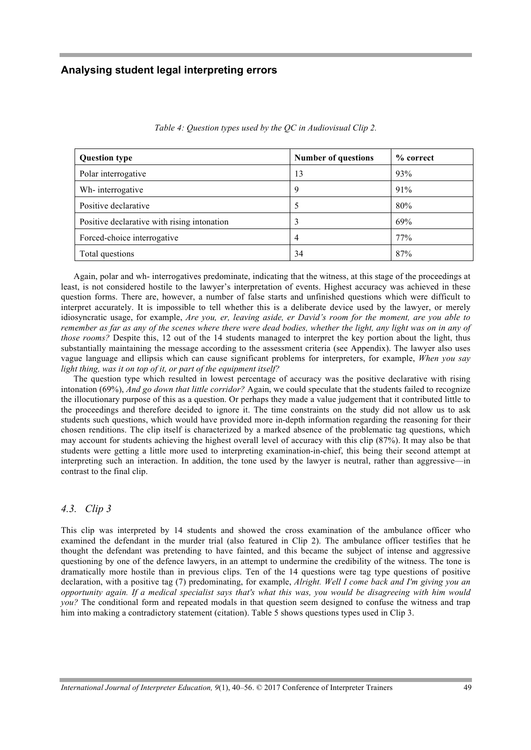| <b>Question type</b>                        | <b>Number of questions</b> | % correct |
|---------------------------------------------|----------------------------|-----------|
| Polar interrogative                         | 13                         | 93%       |
| Wh-interrogative                            | 9                          | 91%       |
| Positive declarative                        |                            | 80%       |
| Positive declarative with rising intonation |                            | 69%       |
| Forced-choice interrogative                 | 4                          | 77%       |
| Total questions                             | 34                         | 87%       |

*Table 4: Question types used by the QC in Audiovisual Clip 2.*

Again, polar and wh- interrogatives predominate, indicating that the witness, at this stage of the proceedings at least, is not considered hostile to the lawyer's interpretation of events. Highest accuracy was achieved in these question forms. There are, however, a number of false starts and unfinished questions which were difficult to interpret accurately. It is impossible to tell whether this is a deliberate device used by the lawyer, or merely idiosyncratic usage, for example, *Are you, er, leaving aside, er David's room for the moment, are you able to remember as far as any of the scenes where there were dead bodies, whether the light, any light was on in any of those rooms?* Despite this, 12 out of the 14 students managed to interpret the key portion about the light, thus substantially maintaining the message according to the assessment criteria (see Appendix). The lawyer also uses vague language and ellipsis which can cause significant problems for interpreters, for example, *When you say light thing, was it on top of it, or part of the equipment itself?*

The question type which resulted in lowest percentage of accuracy was the positive declarative with rising intonation (69%), *And go down that little corridor?* Again, we could speculate that the students failed to recognize the illocutionary purpose of this as a question. Or perhaps they made a value judgement that it contributed little to the proceedings and therefore decided to ignore it. The time constraints on the study did not allow us to ask students such questions, which would have provided more in-depth information regarding the reasoning for their chosen renditions. The clip itself is characterized by a marked absence of the problematic tag questions, which may account for students achieving the highest overall level of accuracy with this clip (87%). It may also be that students were getting a little more used to interpreting examination-in-chief, this being their second attempt at interpreting such an interaction. In addition, the tone used by the lawyer is neutral, rather than aggressive—in contrast to the final clip.

#### *4.3. Clip 3*

This clip was interpreted by 14 students and showed the cross examination of the ambulance officer who examined the defendant in the murder trial (also featured in Clip 2). The ambulance officer testifies that he thought the defendant was pretending to have fainted, and this became the subject of intense and aggressive questioning by one of the defence lawyers, in an attempt to undermine the credibility of the witness. The tone is dramatically more hostile than in previous clips. Ten of the 14 questions were tag type questions of positive declaration, with a positive tag (7) predominating, for example, *Alright. Well I come back and I'm giving you an opportunity again. If a medical specialist says that's what this was, you would be disagreeing with him would you?* The conditional form and repeated modals in that question seem designed to confuse the witness and trap him into making a contradictory statement (citation). Table 5 shows questions types used in Clip 3.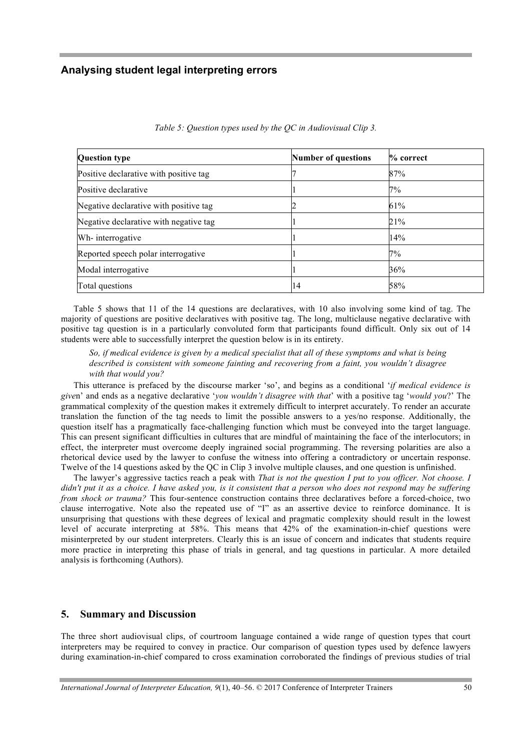| <b>Question type</b>                   | <b>Number of questions</b> | $\%$ correct |
|----------------------------------------|----------------------------|--------------|
| Positive declarative with positive tag |                            | 87%          |
| Positive declarative                   |                            | 7%           |
| Negative declarative with positive tag |                            | 61%          |
| Negative declarative with negative tag |                            | 21%          |
| Wh-interrogative                       |                            | 14%          |
| Reported speech polar interrogative    |                            | 7%           |
| Modal interrogative                    |                            | 36%          |
| Total questions                        | 14                         | 58%          |

*Table 5: Question types used by the QC in Audiovisual Clip 3.*

Table 5 shows that 11 of the 14 questions are declaratives, with 10 also involving some kind of tag. The majority of questions are positive declaratives with positive tag. The long, multiclause negative declarative with positive tag question is in a particularly convoluted form that participants found difficult. Only six out of 14 students were able to successfully interpret the question below is in its entirety.

*So, if medical evidence is given by a medical specialist that all of these symptoms and what is being described is consistent with someone fainting and recovering from a faint, you wouldn't disagree with that would you?* 

This utterance is prefaced by the discourse marker 'so', and begins as a conditional '*if medical evidence is give*n' and ends as a negative declarative '*you wouldn't disagree with that*' with a positive tag '*would you*?' The grammatical complexity of the question makes it extremely difficult to interpret accurately. To render an accurate translation the function of the tag needs to limit the possible answers to a yes/no response. Additionally, the question itself has a pragmatically face-challenging function which must be conveyed into the target language. This can present significant difficulties in cultures that are mindful of maintaining the face of the interlocutors; in effect, the interpreter must overcome deeply ingrained social programming. The reversing polarities are also a rhetorical device used by the lawyer to confuse the witness into offering a contradictory or uncertain response. Twelve of the 14 questions asked by the QC in Clip 3 involve multiple clauses, and one question is unfinished.

The lawyer's aggressive tactics reach a peak with *That is not the question I put to you officer. Not choose. I didn't put it as a choice. I have asked you, is it consistent that a person who does not respond may be suffering from shock or trauma?* This four-sentence construction contains three declaratives before a forced-choice, two clause interrogative. Note also the repeated use of "I" as an assertive device to reinforce dominance. It is unsurprising that questions with these degrees of lexical and pragmatic complexity should result in the lowest level of accurate interpreting at 58%. This means that 42% of the examination-in-chief questions were misinterpreted by our student interpreters. Clearly this is an issue of concern and indicates that students require more practice in interpreting this phase of trials in general, and tag questions in particular. A more detailed analysis is forthcoming (Authors).

#### **5. Summary and Discussion**

The three short audiovisual clips, of courtroom language contained a wide range of question types that court interpreters may be required to convey in practice. Our comparison of question types used by defence lawyers during examination-in-chief compared to cross examination corroborated the findings of previous studies of trial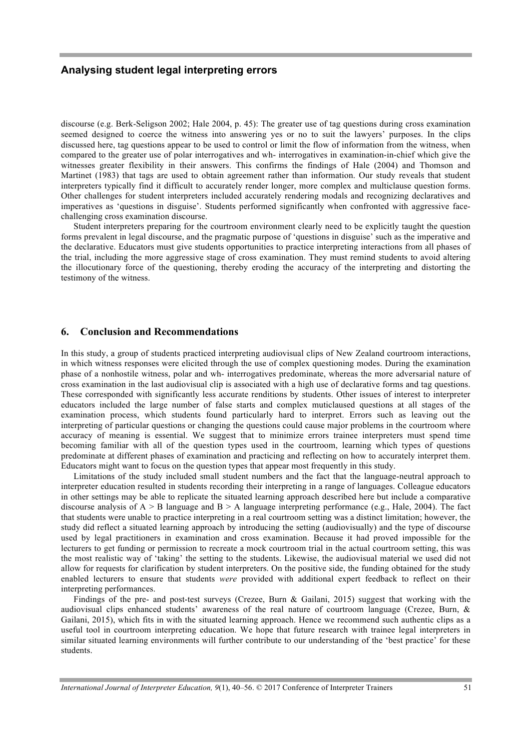discourse (e.g. Berk-Seligson 2002; Hale 2004, p. 45): The greater use of tag questions during cross examination seemed designed to coerce the witness into answering yes or no to suit the lawyers' purposes. In the clips discussed here, tag questions appear to be used to control or limit the flow of information from the witness, when compared to the greater use of polar interrogatives and wh- interrogatives in examination-in-chief which give the witnesses greater flexibility in their answers. This confirms the findings of Hale (2004) and Thomson and Martinet (1983) that tags are used to obtain agreement rather than information. Our study reveals that student interpreters typically find it difficult to accurately render longer, more complex and multiclause question forms. Other challenges for student interpreters included accurately rendering modals and recognizing declaratives and imperatives as 'questions in disguise'. Students performed significantly when confronted with aggressive facechallenging cross examination discourse.

Student interpreters preparing for the courtroom environment clearly need to be explicitly taught the question forms prevalent in legal discourse, and the pragmatic purpose of 'questions in disguise' such as the imperative and the declarative. Educators must give students opportunities to practice interpreting interactions from all phases of the trial, including the more aggressive stage of cross examination. They must remind students to avoid altering the illocutionary force of the questioning, thereby eroding the accuracy of the interpreting and distorting the testimony of the witness.

#### **6. Conclusion and Recommendations**

In this study, a group of students practiced interpreting audiovisual clips of New Zealand courtroom interactions, in which witness responses were elicited through the use of complex questioning modes. During the examination phase of a nonhostile witness, polar and wh- interrogatives predominate, whereas the more adversarial nature of cross examination in the last audiovisual clip is associated with a high use of declarative forms and tag questions. These corresponded with significantly less accurate renditions by students. Other issues of interest to interpreter educators included the large number of false starts and complex muticlaused questions at all stages of the examination process, which students found particularly hard to interpret. Errors such as leaving out the interpreting of particular questions or changing the questions could cause major problems in the courtroom where accuracy of meaning is essential. We suggest that to minimize errors trainee interpreters must spend time becoming familiar with all of the question types used in the courtroom, learning which types of questions predominate at different phases of examination and practicing and reflecting on how to accurately interpret them. Educators might want to focus on the question types that appear most frequently in this study.

Limitations of the study included small student numbers and the fact that the language-neutral approach to interpreter education resulted in students recording their interpreting in a range of languages. Colleague educators in other settings may be able to replicate the situated learning approach described here but include a comparative discourse analysis of  $A > B$  language and  $B > A$  language interpreting performance (e.g., Hale, 2004). The fact that students were unable to practice interpreting in a real courtroom setting was a distinct limitation; however, the study did reflect a situated learning approach by introducing the setting (audiovisually) and the type of discourse used by legal practitioners in examination and cross examination. Because it had proved impossible for the lecturers to get funding or permission to recreate a mock courtroom trial in the actual courtroom setting, this was the most realistic way of 'taking' the setting to the students. Likewise, the audiovisual material we used did not allow for requests for clarification by student interpreters. On the positive side, the funding obtained for the study enabled lecturers to ensure that students *were* provided with additional expert feedback to reflect on their interpreting performances.

Findings of the pre- and post-test surveys (Crezee, Burn & Gailani, 2015) suggest that working with the audiovisual clips enhanced students' awareness of the real nature of courtroom language (Crezee, Burn, & Gailani, 2015), which fits in with the situated learning approach. Hence we recommend such authentic clips as a useful tool in courtroom interpreting education. We hope that future research with trainee legal interpreters in similar situated learning environments will further contribute to our understanding of the 'best practice' for these students.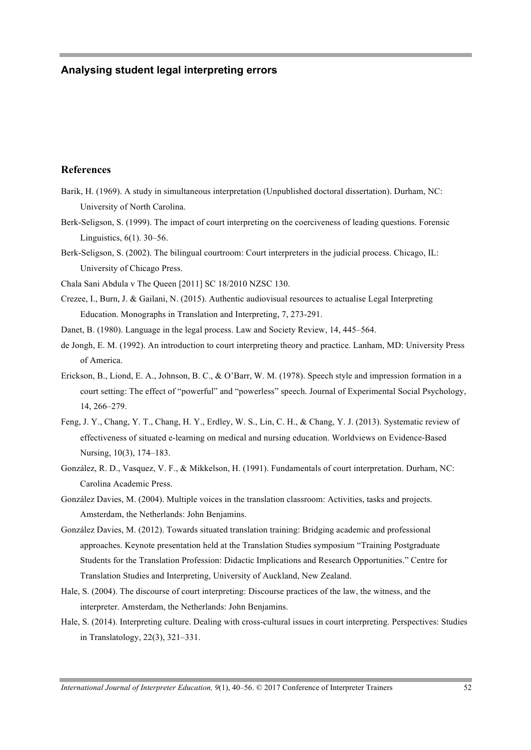#### **References**

- Barik, H. (1969). A study in simultaneous interpretation (Unpublished doctoral dissertation). Durham, NC: University of North Carolina.
- Berk-Seligson, S. (1999). The impact of court interpreting on the coerciveness of leading questions. Forensic Linguistics, 6(1). 30–56.
- Berk-Seligson, S. (2002). The bilingual courtroom: Court interpreters in the judicial process. Chicago, IL: University of Chicago Press.

Chala Sani Abdula v The Queen [2011] SC 18/2010 NZSC 130.

- Crezee, I., Burn, J. & Gailani, N. (2015). Authentic audiovisual resources to actualise Legal Interpreting Education. Monographs in Translation and Interpreting, 7, 273-291.
- Danet, B. (1980). Language in the legal process. Law and Society Review, 14, 445–564.
- de Jongh, E. M. (1992). An introduction to court interpreting theory and practice. Lanham, MD: University Press of America.
- Erickson, B., Liond, E. A., Johnson, B. C., & O'Barr, W. M. (1978). Speech style and impression formation in a court setting: The effect of "powerful" and "powerless" speech. Journal of Experimental Social Psychology, 14, 266–279.
- Feng, J. Y., Chang, Y. T., Chang, H. Y., Erdley, W. S., Lin, C. H., & Chang, Y. J. (2013). Systematic review of effectiveness of situated e-learning on medical and nursing education. Worldviews on Evidence-Based Nursing, 10(3), 174–183.
- González, R. D., Vasquez, V. F., & Mikkelson, H. (1991). Fundamentals of court interpretation. Durham, NC: Carolina Academic Press.
- González Davies, M. (2004). Multiple voices in the translation classroom: Activities, tasks and projects. Amsterdam, the Netherlands: John Benjamins.
- González Davies, M. (2012). Towards situated translation training: Bridging academic and professional approaches. Keynote presentation held at the Translation Studies symposium "Training Postgraduate Students for the Translation Profession: Didactic Implications and Research Opportunities." Centre for Translation Studies and Interpreting, University of Auckland, New Zealand.
- Hale, S. (2004). The discourse of court interpreting: Discourse practices of the law, the witness, and the interpreter. Amsterdam, the Netherlands: John Benjamins.
- Hale, S. (2014). Interpreting culture. Dealing with cross-cultural issues in court interpreting. Perspectives: Studies in Translatology, 22(3), 321–331.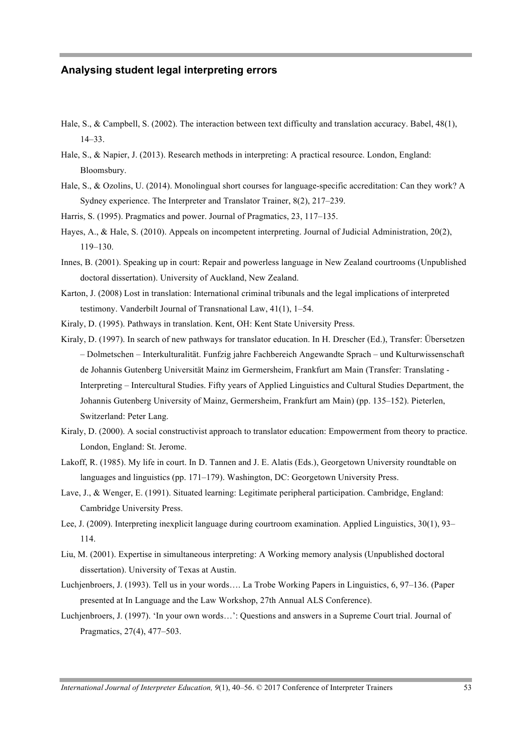- Hale, S., & Campbell, S. (2002). The interaction between text difficulty and translation accuracy. Babel, 48(1), 14–33.
- Hale, S., & Napier, J. (2013). Research methods in interpreting: A practical resource. London, England: Bloomsbury.
- Hale, S., & Ozolins, U. (2014). Monolingual short courses for language-specific accreditation: Can they work? A Sydney experience. The Interpreter and Translator Trainer, 8(2), 217–239.
- Harris, S. (1995). Pragmatics and power. Journal of Pragmatics, 23, 117–135.
- Hayes, A., & Hale, S. (2010). Appeals on incompetent interpreting. Journal of Judicial Administration, 20(2), 119–130.
- Innes, B. (2001). Speaking up in court: Repair and powerless language in New Zealand courtrooms (Unpublished doctoral dissertation). University of Auckland, New Zealand.
- Karton, J. (2008) Lost in translation: International criminal tribunals and the legal implications of interpreted testimony. Vanderbilt Journal of Transnational Law, 41(1), 1–54.
- Kiraly, D. (1995). Pathways in translation. Kent, OH: Kent State University Press.
- Kiraly, D. (1997). In search of new pathways for translator education. In H. Drescher (Ed.), Transfer: Übersetzen – Dolmetschen – Interkulturalität. Funfzig jahre Fachbereich Angewandte Sprach – und Kulturwissenschaft de Johannis Gutenberg Universität Mainz im Germersheim, Frankfurt am Main (Transfer: Translating - Interpreting – Intercultural Studies. Fifty years of Applied Linguistics and Cultural Studies Department, the Johannis Gutenberg University of Mainz, Germersheim, Frankfurt am Main) (pp. 135–152). Pieterlen, Switzerland: Peter Lang.
- Kiraly, D. (2000). A social constructivist approach to translator education: Empowerment from theory to practice. London, England: St. Jerome.
- Lakoff, R. (1985). My life in court. In D. Tannen and J. E. Alatis (Eds.), Georgetown University roundtable on languages and linguistics (pp. 171–179). Washington, DC: Georgetown University Press.
- Lave, J., & Wenger, E. (1991). Situated learning: Legitimate peripheral participation. Cambridge, England: Cambridge University Press.
- Lee, J. (2009). Interpreting inexplicit language during courtroom examination. Applied Linguistics, 30(1), 93– 114.
- Liu, M. (2001). Expertise in simultaneous interpreting: A Working memory analysis (Unpublished doctoral dissertation). University of Texas at Austin.
- Luchjenbroers, J. (1993). Tell us in your words…. La Trobe Working Papers in Linguistics, 6, 97–136. (Paper presented at In Language and the Law Workshop, 27th Annual ALS Conference).
- Luchjenbroers, J. (1997). 'In your own words…': Questions and answers in a Supreme Court trial. Journal of Pragmatics, 27(4), 477–503.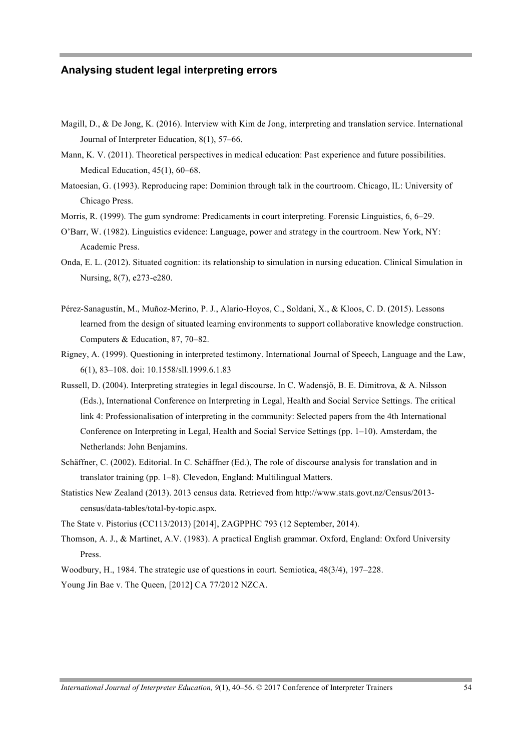- Magill, D., & De Jong, K. (2016). Interview with Kim de Jong, interpreting and translation service. International Journal of Interpreter Education, 8(1), 57–66.
- Mann, K. V. (2011). Theoretical perspectives in medical education: Past experience and future possibilities. Medical Education, 45(1), 60–68.
- Matoesian, G. (1993). Reproducing rape: Dominion through talk in the courtroom. Chicago, IL: University of Chicago Press.
- Morris, R. (1999). The gum syndrome: Predicaments in court interpreting. Forensic Linguistics, 6, 6–29.
- O'Barr, W. (1982). Linguistics evidence: Language, power and strategy in the courtroom. New York, NY: Academic Press.
- Onda, E. L. (2012). Situated cognition: its relationship to simulation in nursing education. Clinical Simulation in Nursing, 8(7), e273-e280.
- Pérez-Sanagustín, M., Muñoz-Merino, P. J., Alario-Hoyos, C., Soldani, X., & Kloos, C. D. (2015). Lessons learned from the design of situated learning environments to support collaborative knowledge construction. Computers & Education, 87, 70–82.
- Rigney, A. (1999). Questioning in interpreted testimony. International Journal of Speech, Language and the Law, 6(1), 83–108. doi: 10.1558/sll.1999.6.1.83
- Russell, D. (2004). Interpreting strategies in legal discourse. In C. Wadensjö, B. E. Dimitrova, & A. Nilsson (Eds.), International Conference on Interpreting in Legal, Health and Social Service Settings. The critical link 4: Professionalisation of interpreting in the community: Selected papers from the 4th International Conference on Interpreting in Legal, Health and Social Service Settings (pp. 1–10). Amsterdam, the Netherlands: John Benjamins.
- Schäffner, C. (2002). Editorial. In C. Schäffner (Ed.), The role of discourse analysis for translation and in translator training (pp. 1–8). Clevedon, England: Multilingual Matters.
- Statistics New Zealand (2013). 2013 census data. Retrieved from http://www.stats.govt.nz/Census/2013 census/data-tables/total-by-topic.aspx.

The State v. Pistorius (CC113/2013) [2014], ZAGPPHC 793 (12 September, 2014).

Thomson, A. J., & Martinet, A.V. (1983). A practical English grammar. Oxford, England: Oxford University Press.

Woodbury, H., 1984. The strategic use of questions in court. Semiotica, 48(3/4), 197–228.

Young Jin Bae v. The Queen, [2012] CA 77/2012 NZCA.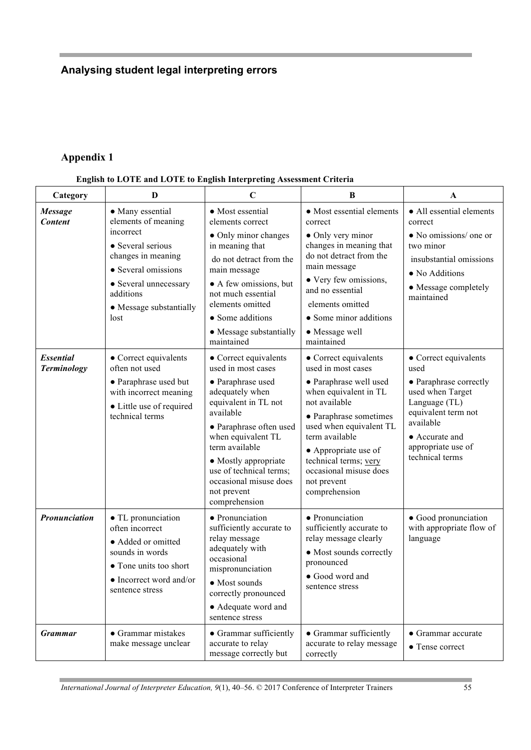# **Appendix 1**

| English to LOTE and LOTE to English Interpreting Assessment Criteria |  |  |
|----------------------------------------------------------------------|--|--|
|                                                                      |  |  |
|                                                                      |  |  |
|                                                                      |  |  |

| Category                               | D                                                                                                                                                      | $\mathbf C$                                                                                                                                                                                                                                                                                              | B                                                                                                                                                                                                                                                                                                 | A                                                                                                                                                                                           |
|----------------------------------------|--------------------------------------------------------------------------------------------------------------------------------------------------------|----------------------------------------------------------------------------------------------------------------------------------------------------------------------------------------------------------------------------------------------------------------------------------------------------------|---------------------------------------------------------------------------------------------------------------------------------------------------------------------------------------------------------------------------------------------------------------------------------------------------|---------------------------------------------------------------------------------------------------------------------------------------------------------------------------------------------|
| <b>Message</b><br><b>Content</b>       | • Many essential<br>• Most essential<br>elements of meaning<br>elements correct                                                                        | • Most essential elements<br>correct                                                                                                                                                                                                                                                                     | • All essential elements<br>correct                                                                                                                                                                                                                                                               |                                                                                                                                                                                             |
|                                        | incorrect<br>• Several serious<br>changes in meaning<br>• Several omissions<br>• Several unnecessary<br>additions<br>• Message substantially<br>lost   | • Only minor changes<br>in meaning that<br>do not detract from the<br>main message<br>• A few omissions, but<br>not much essential<br>elements omitted<br>• Some additions<br>• Message substantially<br>maintained                                                                                      | • Only very minor<br>changes in meaning that<br>do not detract from the<br>main message<br>• Very few omissions,<br>and no essential<br>elements omitted<br>• Some minor additions<br>• Message well<br>maintained                                                                                | $\bullet$ No omissions/ one or<br>two minor<br>insubstantial omissions<br>• No Additions<br>• Message completely<br>maintained                                                              |
| <b>Essential</b><br><b>Terminology</b> | • Correct equivalents<br>often not used<br>• Paraphrase used but<br>with incorrect meaning<br>• Little use of required<br>technical terms              | • Correct equivalents<br>used in most cases<br>• Paraphrase used<br>adequately when<br>equivalent in TL not<br>available<br>• Paraphrase often used<br>when equivalent TL<br>term available<br>• Mostly appropriate<br>use of technical terms;<br>occasional misuse does<br>not prevent<br>comprehension | • Correct equivalents<br>used in most cases<br>· Paraphrase well used<br>when equivalent in TL<br>not available<br>• Paraphrase sometimes<br>used when equivalent TL<br>term available<br>• Appropriate use of<br>technical terms; very<br>occasional misuse does<br>not prevent<br>comprehension | • Correct equivalents<br>used<br>• Paraphrase correctly<br>used when Target<br>Language (TL)<br>equivalent term not<br>available<br>• Accurate and<br>appropriate use of<br>technical terms |
| Pronunciation                          | • TL pronunciation<br>often incorrect<br>• Added or omitted<br>sounds in words<br>• Tone units too short<br>• Incorrect word and/or<br>sentence stress | • Pronunciation<br>sufficiently accurate to<br>relay message<br>adequately with<br>occasional<br>mispronunciation<br>• Most sounds<br>correctly pronounced<br>• Adequate word and<br>sentence stress                                                                                                     | • Pronunciation<br>sufficiently accurate to<br>relay message clearly<br>• Most sounds correctly<br>pronounced<br>• Good word and<br>sentence stress                                                                                                                                               | • Good pronunciation<br>with appropriate flow of<br>language                                                                                                                                |
| <b>Grammar</b>                         | • Grammar mistakes<br>make message unclear                                                                                                             | • Grammar sufficiently<br>accurate to relay<br>message correctly but                                                                                                                                                                                                                                     | • Grammar sufficiently<br>accurate to relay message<br>correctly                                                                                                                                                                                                                                  | • Grammar accurate<br>• Tense correct                                                                                                                                                       |